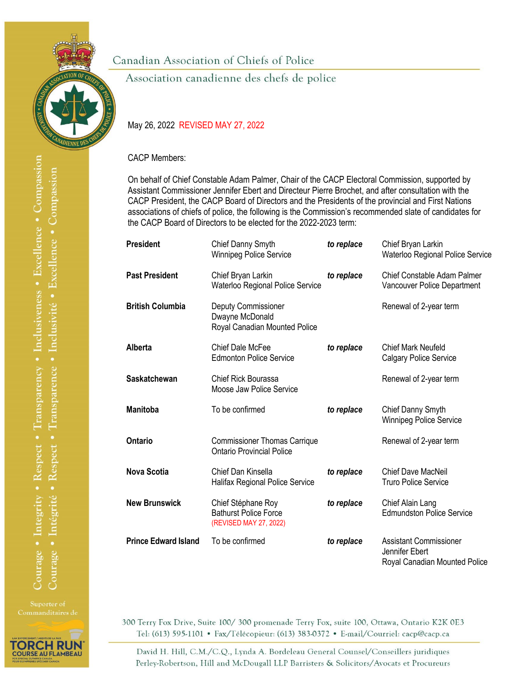

Canadian Association of Chiefs of Police

Association canadienne des chefs de police

## May 26, 2022 REVISED MAY 27, 2022

CACP Members:

On behalf of Chief Constable Adam Palmer, Chair of the CACP Electoral Commission, supported by Assistant Commissioner Jennifer Ebert and Directeur Pierre Brochet, and after consultation with the CACP President, the CACP Board of Directors and the Presidents of the provincial and First Nations associations of chiefs of police, the following is the Commission's recommended slate of candidates for the CACP Board of Directors to be elected for the 2022-2023 term:

| <b>President</b>            | Chief Danny Smyth<br><b>Winnipeg Police Service</b>                          | to replace | Chief Bryan Larkin<br>Waterloo Regional Police Service                           |
|-----------------------------|------------------------------------------------------------------------------|------------|----------------------------------------------------------------------------------|
| <b>Past President</b>       | Chief Bryan Larkin<br>Waterloo Regional Police Service                       | to replace | Chief Constable Adam Palmer<br>Vancouver Police Department                       |
| <b>British Columbia</b>     | Deputy Commissioner<br>Dwayne McDonald<br>Royal Canadian Mounted Police      |            | Renewal of 2-year term                                                           |
| Alberta                     | Chief Dale McFee<br><b>Edmonton Police Service</b>                           | to replace | <b>Chief Mark Neufeld</b><br><b>Calgary Police Service</b>                       |
| <b>Saskatchewan</b>         | <b>Chief Rick Bourassa</b><br>Moose Jaw Police Service                       |            | Renewal of 2-year term                                                           |
| <b>Manitoba</b>             | To be confirmed                                                              | to replace | Chief Danny Smyth<br><b>Winnipeg Police Service</b>                              |
| Ontario                     | <b>Commissioner Thomas Carrique</b><br><b>Ontario Provincial Police</b>      |            | Renewal of 2-year term                                                           |
| <b>Nova Scotia</b>          | Chief Dan Kinsella<br>Halifax Regional Police Service                        | to replace | <b>Chief Dave MacNeil</b><br><b>Truro Police Service</b>                         |
| <b>New Brunswick</b>        | Chief Stéphane Roy<br><b>Bathurst Police Force</b><br>(REVISED MAY 27, 2022) | to replace | Chief Alain Lang<br><b>Edmundston Police Service</b>                             |
| <b>Prince Edward Island</b> | To be confirmed                                                              | to replace | <b>Assistant Commissioner</b><br>Jennifer Ebert<br>Royal Canadian Mounted Police |

Suporter of



300 Terry Fox Drive, Suite 100/300 promenade Terry Fox, suite 100, Ottawa, Ontario K2K 0E3 Tel: (613) 595-1101 • Fax/Télécopieur: (613) 383-0372 • E-mail/Courriel: cacp@cacp.ca

David H. Hill, C.M./C.Q., Lynda A. Bordeleau General Counsel/Conseillers juridiques Perley-Robertson, Hill and McDougall LLP Barristers & Solicitors/Avocats et Procureurs

Courage • Integrity • Respect • Transparency • Inclusiveness • Excellence • Compassion